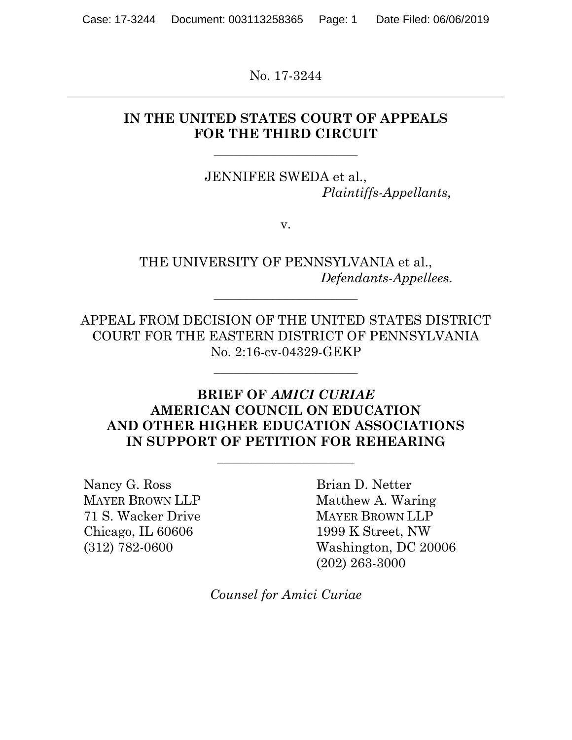No. 17-3244

## **IN THE UNITED STATES COURT OF APPEALS FOR THE THIRD CIRCUIT**

**\_\_\_\_\_\_\_\_\_\_\_\_\_\_\_\_\_\_\_\_\_\_** 

JENNIFER SWEDA et al., *Plaintiffs-Appellants*,

v.

THE UNIVERSITY OF PENNSYLVANIA et al., *Defendants-Appellees*.

APPEAL FROM DECISION OF THE UNITED STATES DISTRICT COURT FOR THE EASTERN DISTRICT OF PENNSYLVANIA No. 2:16-cv-04329-GEKP

**\_\_\_\_\_\_\_\_\_\_\_\_\_\_\_\_\_\_\_\_\_\_** 

**\_\_\_\_\_\_\_\_\_\_\_\_\_\_\_\_\_\_\_\_\_\_**

### **BRIEF OF** *AMICI CURIAE*  **AMERICAN COUNCIL ON EDUCATION AND OTHER HIGHER EDUCATION ASSOCIATIONS IN SUPPORT OF PETITION FOR REHEARING**

**\_\_\_\_\_\_\_\_\_\_\_\_\_\_\_\_\_\_\_\_\_** 

Nancy G. Ross MAYER BROWN LLP 71 S. Wacker Drive Chicago, IL 60606 (312) 782-0600

 $\overline{a}$ 

Brian D. Netter Matthew A. Waring MAYER BROWN LLP 1999 K Street, NW Washington, DC 20006 (202) 263-3000

*Counsel for Amici Curiae*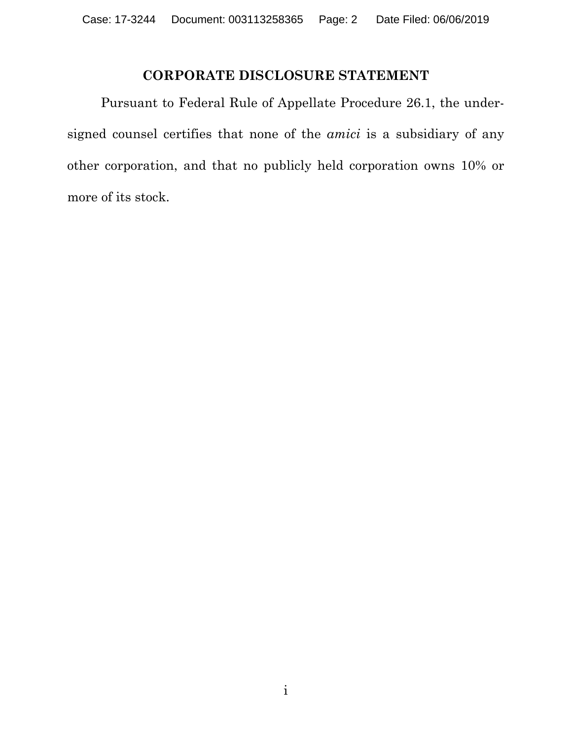## **CORPORATE DISCLOSURE STATEMENT**

Pursuant to Federal Rule of Appellate Procedure 26.1, the undersigned counsel certifies that none of the *amici* is a subsidiary of any other corporation, and that no publicly held corporation owns 10% or more of its stock.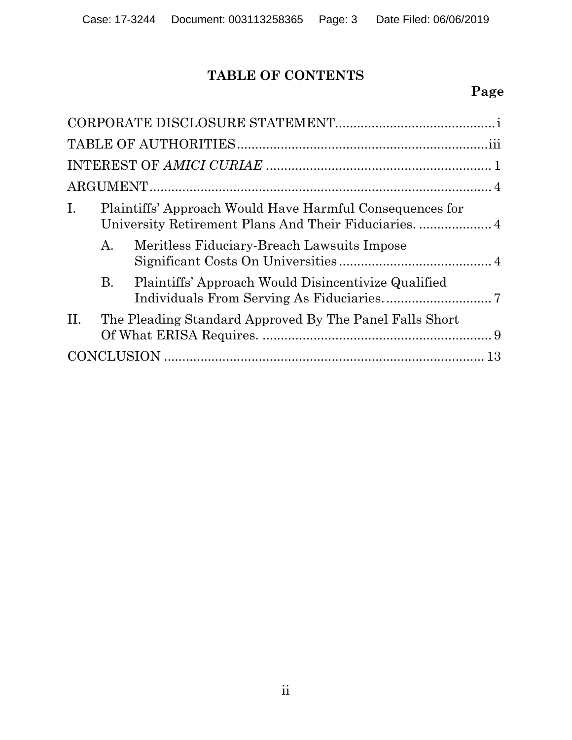# **TABLE OF CONTENTS**

# **Page**

| I.  |           | Plaintiffs' Approach Would Have Harmful Consequences for<br>University Retirement Plans And Their Fiduciaries.  4 |  |  |
|-----|-----------|-------------------------------------------------------------------------------------------------------------------|--|--|
|     | A.        | Meritless Fiduciary-Breach Lawsuits Impose                                                                        |  |  |
|     | <b>B.</b> | Plaintiffs' Approach Would Disincentivize Qualified                                                               |  |  |
| II. |           | The Pleading Standard Approved By The Panel Falls Short                                                           |  |  |
|     |           |                                                                                                                   |  |  |
|     |           |                                                                                                                   |  |  |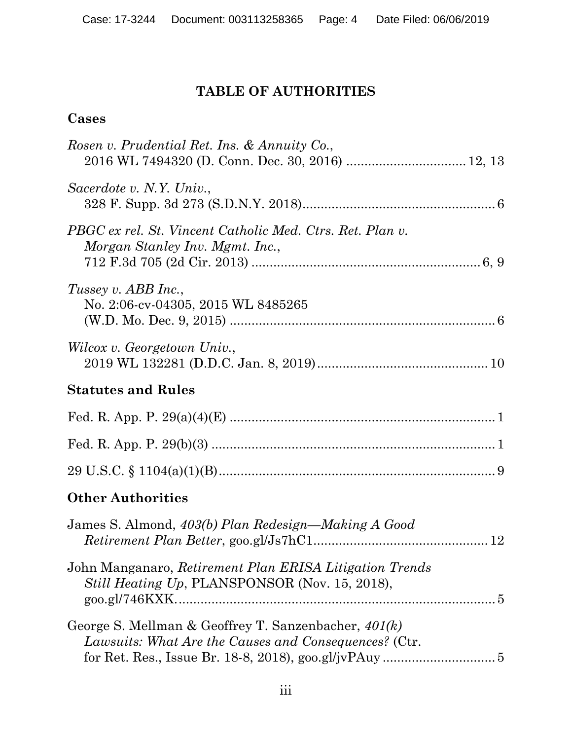# **TABLE OF AUTHORITIES**

## **Cases**

| Rosen v. Prudential Ret. Ins. & Annuity Co.,                                                                  |
|---------------------------------------------------------------------------------------------------------------|
| Sacerdote v. N.Y. Univ.,                                                                                      |
| PBGC ex rel. St. Vincent Catholic Med. Ctrs. Ret. Plan v.<br>Morgan Stanley Inv. Mgmt. Inc.,                  |
| Tussey v. ABB Inc.,<br>No. 2:06-cv-04305, 2015 WL 8485265                                                     |
| Wilcox v. Georgetown Univ.,                                                                                   |
| <b>Statutes and Rules</b>                                                                                     |
|                                                                                                               |
|                                                                                                               |
|                                                                                                               |
| <b>Other Authorities</b>                                                                                      |
| James S. Almond, 403(b) Plan Redesign—Making A Good                                                           |
| John Manganaro, Retirement Plan ERISA Litigation Trends<br>Still Heating Up, PLANSPONSOR (Nov. 15, 2018),     |
| George S. Mellman & Geoffrey T. Sanzenbacher, 401(k)<br>Lawsuits: What Are the Causes and Consequences? (Ctr. |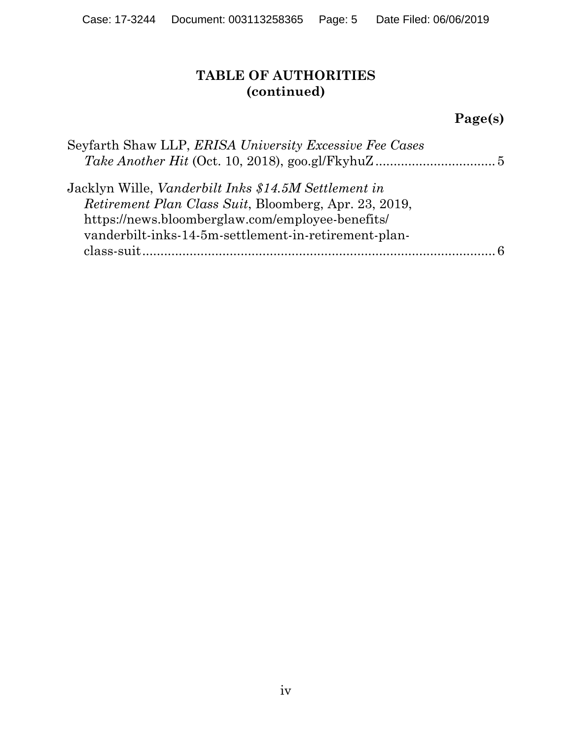## **TABLE OF AUTHORITIES (continued)**

# **Page(s)**

| Seyfarth Shaw LLP, ERISA University Excessive Fee Cases      |
|--------------------------------------------------------------|
|                                                              |
| Jacklyn Wille, <i>Vanderbilt Inks</i> \$14.5M Settlement in  |
| <i>Retirement Plan Class Suit, Bloomberg, Apr. 23, 2019,</i> |
| https://news.bloomberglaw.com/employee-benefits/             |
| vanderbilt-inks-14-5m-settlement-in-retirement-plan-         |
|                                                              |
|                                                              |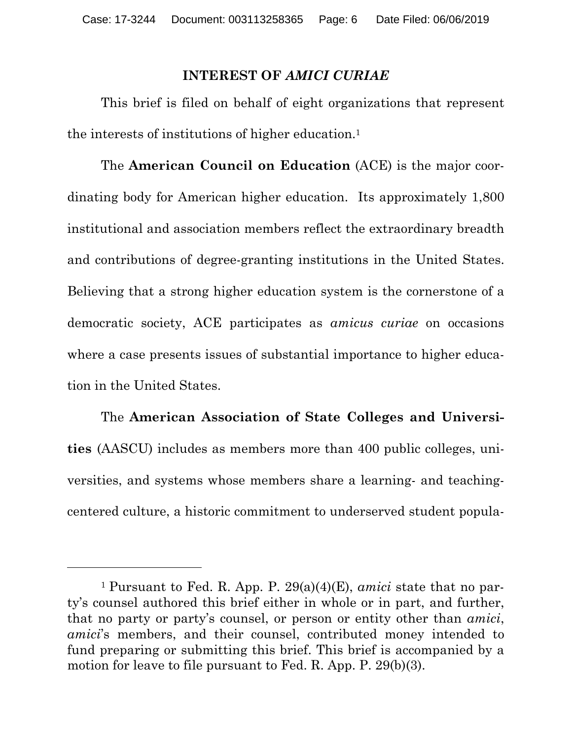#### **INTEREST OF** *AMICI CURIAE*

This brief is filed on behalf of eight organizations that represent the interests of institutions of higher education.1

The **American Council on Education** (ACE) is the major coordinating body for American higher education. Its approximately 1,800 institutional and association members reflect the extraordinary breadth and contributions of degree-granting institutions in the United States. Believing that a strong higher education system is the cornerstone of a democratic society, ACE participates as *amicus curiae* on occasions where a case presents issues of substantial importance to higher education in the United States.

The **American Association of State Colleges and Universities** (AASCU) includes as members more than 400 public colleges, universities, and systems whose members share a learning- and teachingcentered culture, a historic commitment to underserved student popula-

 $\overline{a}$ 

<sup>1</sup> Pursuant to Fed. R. App. P. 29(a)(4)(E), *amici* state that no party's counsel authored this brief either in whole or in part, and further, that no party or party's counsel, or person or entity other than *amici*, *amici*'s members, and their counsel, contributed money intended to fund preparing or submitting this brief. This brief is accompanied by a motion for leave to file pursuant to Fed. R. App. P. 29(b)(3).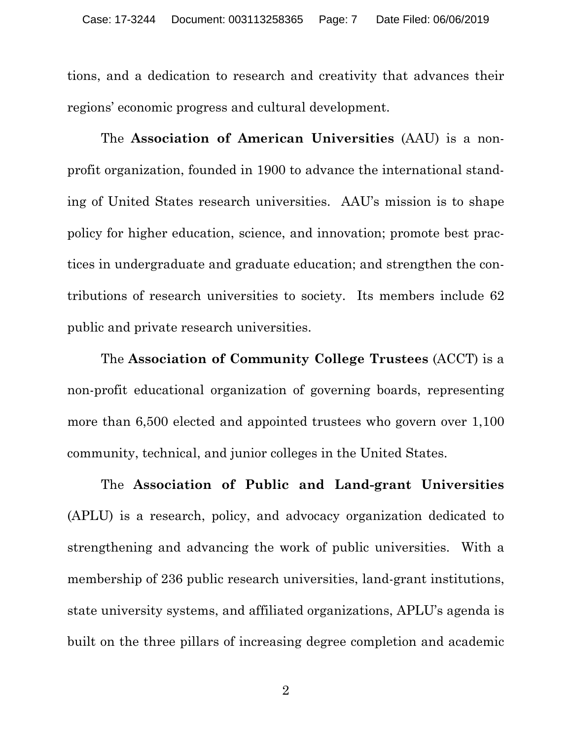tions, and a dedication to research and creativity that advances their regions' economic progress and cultural development.

The **Association of American Universities** (AAU) is a nonprofit organization, founded in 1900 to advance the international standing of United States research universities. AAU's mission is to shape policy for higher education, science, and innovation; promote best practices in undergraduate and graduate education; and strengthen the contributions of research universities to society. Its members include 62 public and private research universities.

The **Association of Community College Trustees** (ACCT) is a non-profit educational organization of governing boards, representing more than 6,500 elected and appointed trustees who govern over 1,100 community, technical, and junior colleges in the United States.

The **Association of Public and Land-grant Universities** (APLU) is a research, policy, and advocacy organization dedicated to strengthening and advancing the work of public universities. With a membership of 236 public research universities, land-grant institutions, state university systems, and affiliated organizations, APLU's agenda is built on the three pillars of increasing degree completion and academic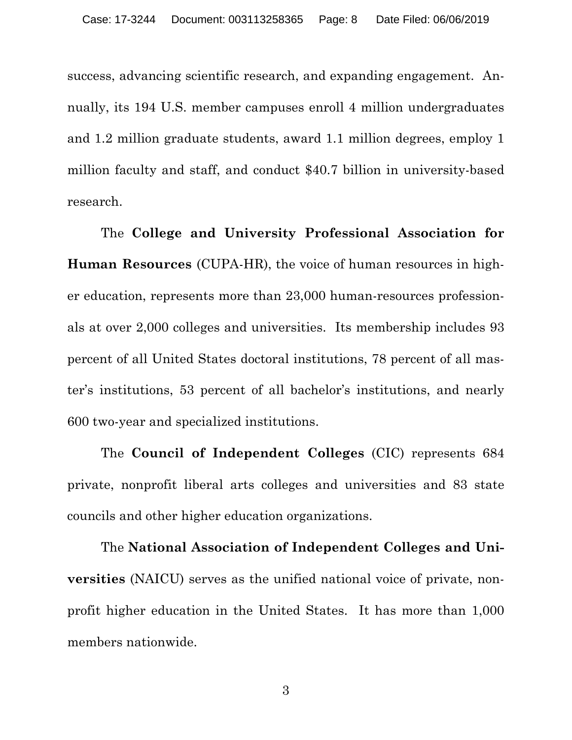success, advancing scientific research, and expanding engagement. Annually, its 194 U.S. member campuses enroll 4 million undergraduates and 1.2 million graduate students, award 1.1 million degrees, employ 1 million faculty and staff, and conduct \$40.7 billion in university-based research.

The **College and University Professional Association for Human Resources** (CUPA-HR), the voice of human resources in higher education, represents more than 23,000 human-resources professionals at over 2,000 colleges and universities. Its membership includes 93 percent of all United States doctoral institutions, 78 percent of all master's institutions, 53 percent of all bachelor's institutions, and nearly 600 two-year and specialized institutions.

The **Council of Independent Colleges** (CIC) represents 684 private, nonprofit liberal arts colleges and universities and 83 state councils and other higher education organizations.

The **National Association of Independent Colleges and Universities** (NAICU) serves as the unified national voice of private, nonprofit higher education in the United States. It has more than 1,000 members nationwide.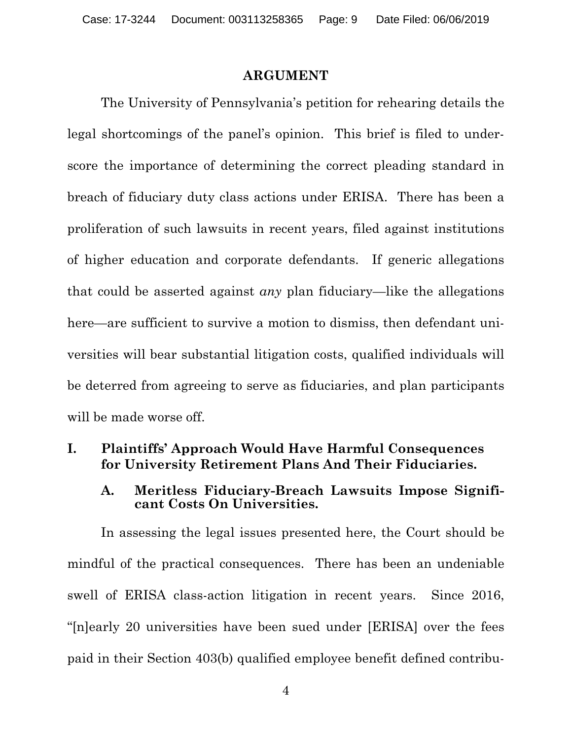#### **ARGUMENT**

The University of Pennsylvania's petition for rehearing details the legal shortcomings of the panel's opinion. This brief is filed to underscore the importance of determining the correct pleading standard in breach of fiduciary duty class actions under ERISA. There has been a proliferation of such lawsuits in recent years, filed against institutions of higher education and corporate defendants. If generic allegations that could be asserted against *any* plan fiduciary—like the allegations here—are sufficient to survive a motion to dismiss, then defendant universities will bear substantial litigation costs, qualified individuals will be deterred from agreeing to serve as fiduciaries, and plan participants will be made worse off.

### **I. Plaintiffs' Approach Would Have Harmful Consequences for University Retirement Plans And Their Fiduciaries.**

#### **A. Meritless Fiduciary-Breach Lawsuits Impose Significant Costs On Universities.**

In assessing the legal issues presented here, the Court should be mindful of the practical consequences. There has been an undeniable swell of ERISA class-action litigation in recent years. Since 2016, "[n]early 20 universities have been sued under [ERISA] over the fees paid in their Section 403(b) qualified employee benefit defined contribu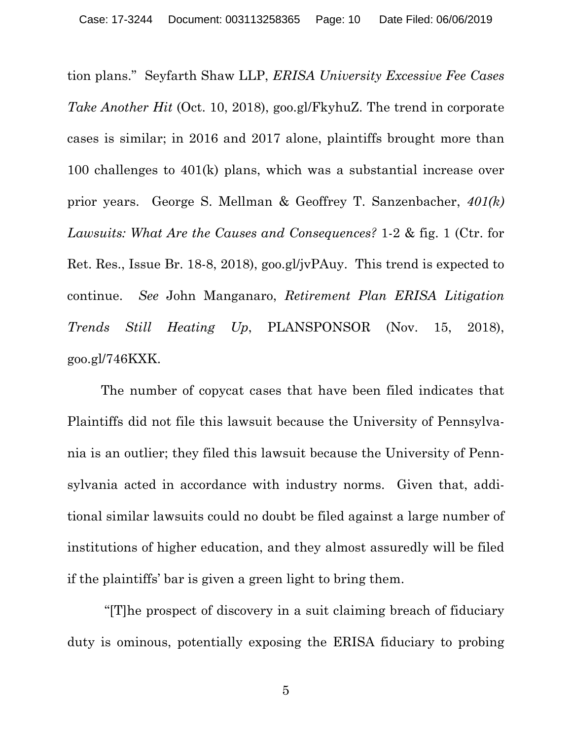tion plans." Seyfarth Shaw LLP, *ERISA University Excessive Fee Cases Take Another Hit* (Oct. 10, 2018), goo.gl/FkyhuZ. The trend in corporate cases is similar; in 2016 and 2017 alone, plaintiffs brought more than 100 challenges to 401(k) plans, which was a substantial increase over prior years. George S. Mellman & Geoffrey T. Sanzenbacher, *401(k) Lawsuits: What Are the Causes and Consequences?* 1-2 & fig. 1 (Ctr. for Ret. Res., Issue Br. 18-8, 2018), goo.gl/jvPAuy. This trend is expected to continue. *See* John Manganaro, *Retirement Plan ERISA Litigation Trends Still Heating Up*, PLANSPONSOR (Nov. 15, 2018), goo.gl/746KXK.

The number of copycat cases that have been filed indicates that Plaintiffs did not file this lawsuit because the University of Pennsylvania is an outlier; they filed this lawsuit because the University of Pennsylvania acted in accordance with industry norms. Given that, additional similar lawsuits could no doubt be filed against a large number of institutions of higher education, and they almost assuredly will be filed if the plaintiffs' bar is given a green light to bring them.

 "[T]he prospect of discovery in a suit claiming breach of fiduciary duty is ominous, potentially exposing the ERISA fiduciary to probing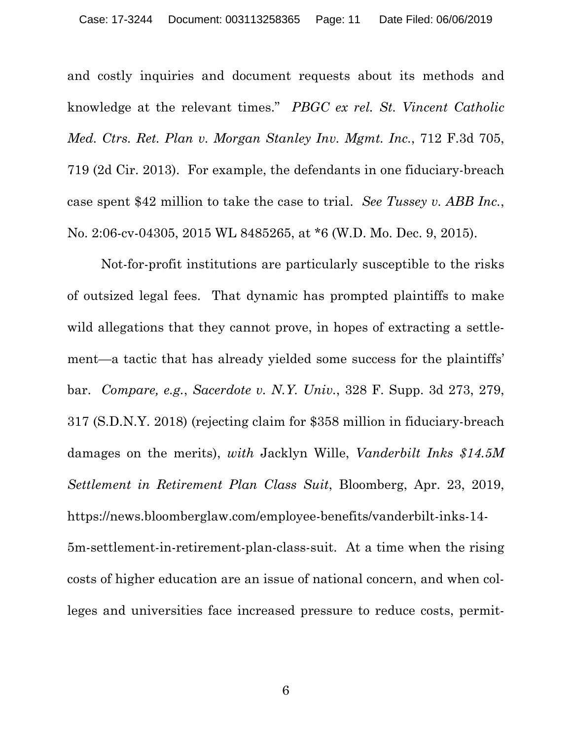and costly inquiries and document requests about its methods and knowledge at the relevant times." *PBGC ex rel. St. Vincent Catholic Med. Ctrs. Ret. Plan v. Morgan Stanley Inv. Mgmt. Inc.*, 712 F.3d 705, 719 (2d Cir. 2013). For example, the defendants in one fiduciary-breach case spent \$42 million to take the case to trial. *See Tussey v. ABB Inc.*, No. 2:06-cv-04305, 2015 WL 8485265, at \*6 (W.D. Mo. Dec. 9, 2015).

Not-for-profit institutions are particularly susceptible to the risks of outsized legal fees. That dynamic has prompted plaintiffs to make wild allegations that they cannot prove, in hopes of extracting a settlement—a tactic that has already yielded some success for the plaintiffs' bar. *Compare, e.g.*, *Sacerdote v. N.Y. Univ.*, 328 F. Supp. 3d 273, 279, 317 (S.D.N.Y. 2018) (rejecting claim for \$358 million in fiduciary-breach damages on the merits), *with* Jacklyn Wille, *Vanderbilt Inks \$14.5M Settlement in Retirement Plan Class Suit*, Bloomberg, Apr. 23, 2019, https://news.bloomberglaw.com/employee-benefits/vanderbilt-inks-14- 5m-settlement-in-retirement-plan-class-suit. At a time when the rising costs of higher education are an issue of national concern, and when colleges and universities face increased pressure to reduce costs, permit-

6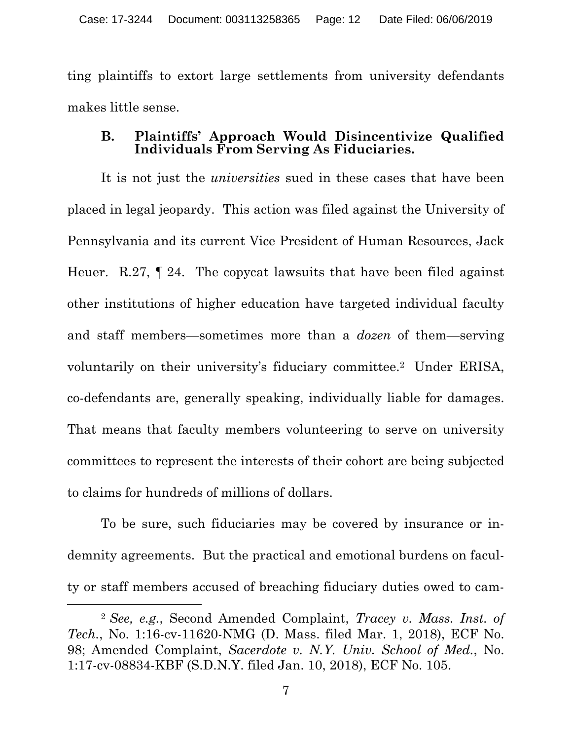ting plaintiffs to extort large settlements from university defendants makes little sense.

#### **B. Plaintiffs' Approach Would Disincentivize Qualified Individuals From Serving As Fiduciaries.**

It is not just the *universities* sued in these cases that have been placed in legal jeopardy. This action was filed against the University of Pennsylvania and its current Vice President of Human Resources, Jack Heuer. R.27, ¶ 24. The copycat lawsuits that have been filed against other institutions of higher education have targeted individual faculty and staff members—sometimes more than a *dozen* of them—serving voluntarily on their university's fiduciary committee.2 Under ERISA, co-defendants are, generally speaking, individually liable for damages. That means that faculty members volunteering to serve on university committees to represent the interests of their cohort are being subjected to claims for hundreds of millions of dollars.

To be sure, such fiduciaries may be covered by insurance or indemnity agreements. But the practical and emotional burdens on faculty or staff members accused of breaching fiduciary duties owed to cam-

 $\overline{a}$ 

<sup>2</sup> *See, e.g.*, Second Amended Complaint, *Tracey v. Mass. Inst. of Tech.*, No. 1:16-cv-11620-NMG (D. Mass. filed Mar. 1, 2018), ECF No. 98; Amended Complaint, *Sacerdote v. N.Y. Univ. School of Med.*, No. 1:17-cv-08834-KBF (S.D.N.Y. filed Jan. 10, 2018), ECF No. 105.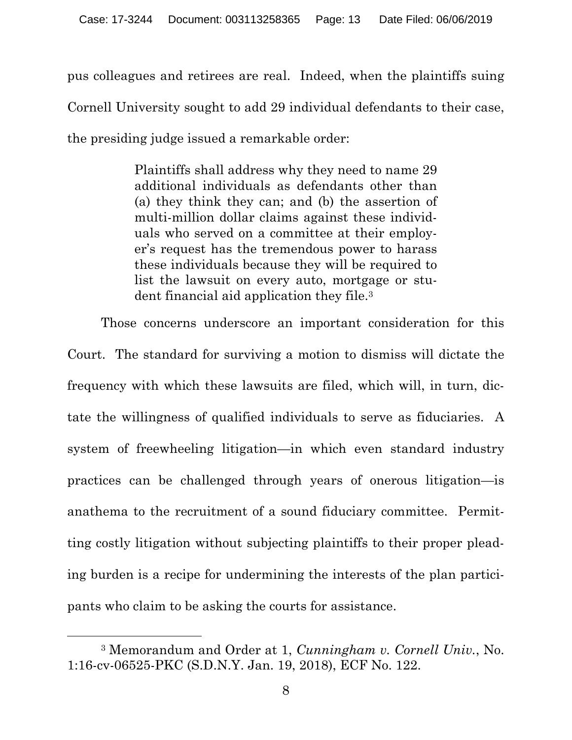pus colleagues and retirees are real. Indeed, when the plaintiffs suing Cornell University sought to add 29 individual defendants to their case, the presiding judge issued a remarkable order:

> Plaintiffs shall address why they need to name 29 additional individuals as defendants other than (a) they think they can; and (b) the assertion of multi-million dollar claims against these individuals who served on a committee at their employer's request has the tremendous power to harass these individuals because they will be required to list the lawsuit on every auto, mortgage or student financial aid application they file.3

Those concerns underscore an important consideration for this Court. The standard for surviving a motion to dismiss will dictate the frequency with which these lawsuits are filed, which will, in turn, dictate the willingness of qualified individuals to serve as fiduciaries. A system of freewheeling litigation—in which even standard industry practices can be challenged through years of onerous litigation—is anathema to the recruitment of a sound fiduciary committee. Permitting costly litigation without subjecting plaintiffs to their proper pleading burden is a recipe for undermining the interests of the plan participants who claim to be asking the courts for assistance.

l

<sup>3</sup> Memorandum and Order at 1, *Cunningham v. Cornell Univ.*, No. 1:16-cv-06525-PKC (S.D.N.Y. Jan. 19, 2018), ECF No. 122.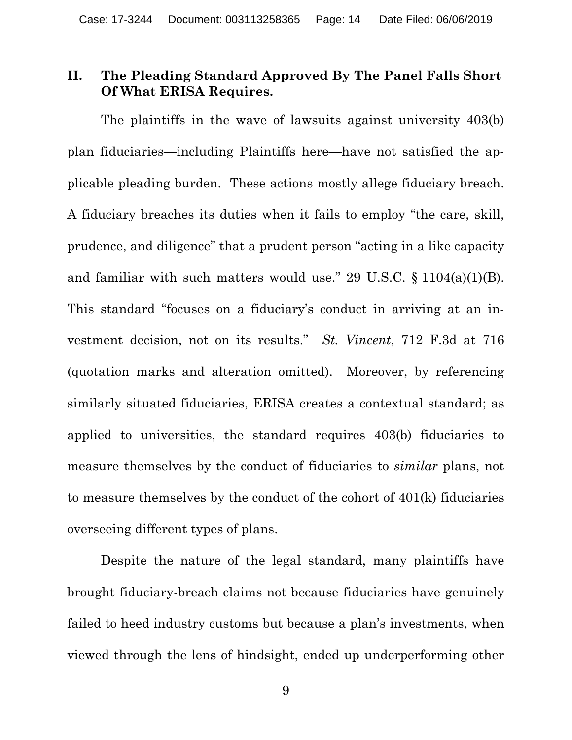### **II. The Pleading Standard Approved By The Panel Falls Short Of What ERISA Requires.**

The plaintiffs in the wave of lawsuits against university 403(b) plan fiduciaries—including Plaintiffs here—have not satisfied the applicable pleading burden. These actions mostly allege fiduciary breach. A fiduciary breaches its duties when it fails to employ "the care, skill, prudence, and diligence" that a prudent person "acting in a like capacity and familiar with such matters would use." 29 U.S.C.  $\S 1104(a)(1)(B)$ . This standard "focuses on a fiduciary's conduct in arriving at an investment decision, not on its results." *St. Vincent*, 712 F.3d at 716 (quotation marks and alteration omitted). Moreover, by referencing similarly situated fiduciaries, ERISA creates a contextual standard; as applied to universities, the standard requires 403(b) fiduciaries to measure themselves by the conduct of fiduciaries to *similar* plans, not to measure themselves by the conduct of the cohort of 401(k) fiduciaries overseeing different types of plans.

Despite the nature of the legal standard, many plaintiffs have brought fiduciary-breach claims not because fiduciaries have genuinely failed to heed industry customs but because a plan's investments, when viewed through the lens of hindsight, ended up underperforming other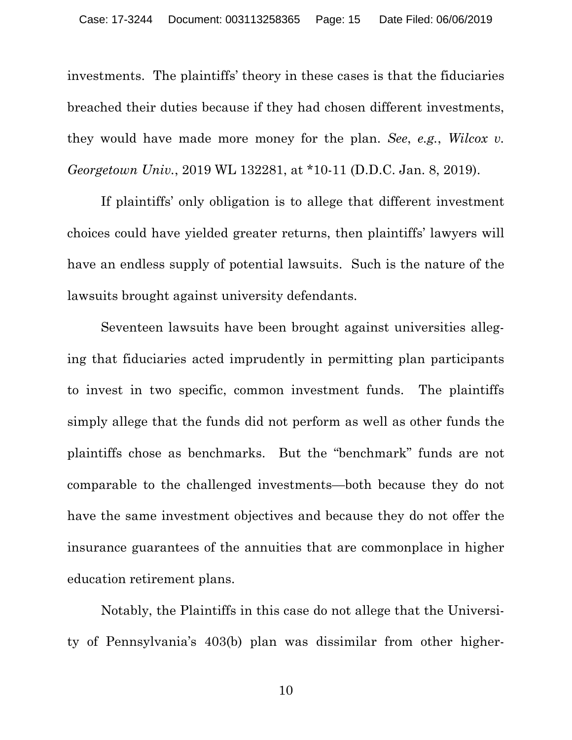investments. The plaintiffs' theory in these cases is that the fiduciaries breached their duties because if they had chosen different investments, they would have made more money for the plan. *See*, *e.g.*, *Wilcox v. Georgetown Univ.*, 2019 WL 132281, at \*10-11 (D.D.C. Jan. 8, 2019).

If plaintiffs' only obligation is to allege that different investment choices could have yielded greater returns, then plaintiffs' lawyers will have an endless supply of potential lawsuits. Such is the nature of the lawsuits brought against university defendants.

Seventeen lawsuits have been brought against universities alleging that fiduciaries acted imprudently in permitting plan participants to invest in two specific, common investment funds. The plaintiffs simply allege that the funds did not perform as well as other funds the plaintiffs chose as benchmarks. But the "benchmark" funds are not comparable to the challenged investments—both because they do not have the same investment objectives and because they do not offer the insurance guarantees of the annuities that are commonplace in higher education retirement plans.

Notably, the Plaintiffs in this case do not allege that the University of Pennsylvania's 403(b) plan was dissimilar from other higher-

10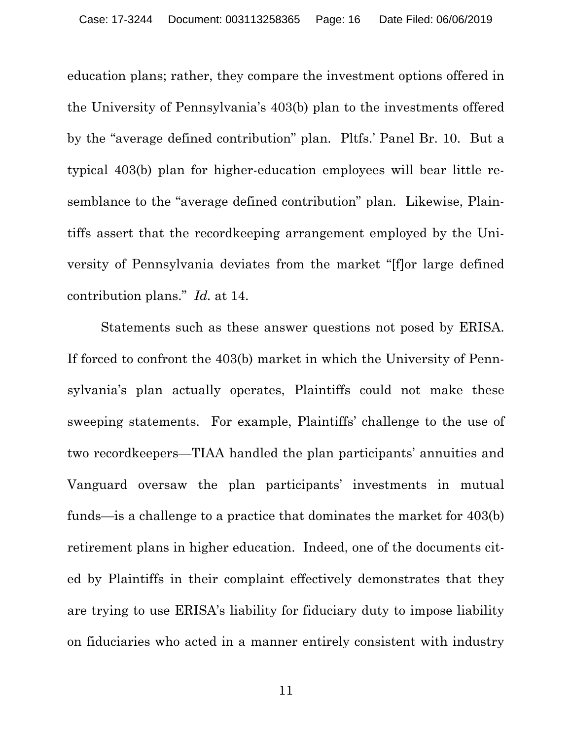education plans; rather, they compare the investment options offered in the University of Pennsylvania's 403(b) plan to the investments offered by the "average defined contribution" plan. Pltfs.' Panel Br. 10. But a typical 403(b) plan for higher-education employees will bear little resemblance to the "average defined contribution" plan. Likewise, Plaintiffs assert that the recordkeeping arrangement employed by the University of Pennsylvania deviates from the market "[f]or large defined contribution plans." *Id.* at 14.

Statements such as these answer questions not posed by ERISA. If forced to confront the 403(b) market in which the University of Pennsylvania's plan actually operates, Plaintiffs could not make these sweeping statements. For example, Plaintiffs' challenge to the use of two recordkeepers—TIAA handled the plan participants' annuities and Vanguard oversaw the plan participants' investments in mutual funds—is a challenge to a practice that dominates the market for 403(b) retirement plans in higher education. Indeed, one of the documents cited by Plaintiffs in their complaint effectively demonstrates that they are trying to use ERISA's liability for fiduciary duty to impose liability on fiduciaries who acted in a manner entirely consistent with industry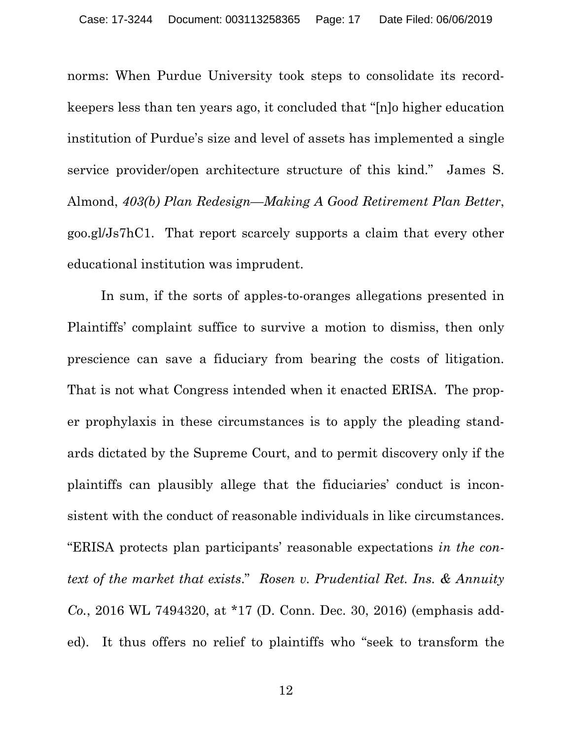norms: When Purdue University took steps to consolidate its recordkeepers less than ten years ago, it concluded that "[n]o higher education institution of Purdue's size and level of assets has implemented a single service provider/open architecture structure of this kind." James S. Almond, *403(b) Plan Redesign—Making A Good Retirement Plan Better*, goo.gl/Js7hC1. That report scarcely supports a claim that every other educational institution was imprudent.

In sum, if the sorts of apples-to-oranges allegations presented in Plaintiffs' complaint suffice to survive a motion to dismiss, then only prescience can save a fiduciary from bearing the costs of litigation. That is not what Congress intended when it enacted ERISA. The proper prophylaxis in these circumstances is to apply the pleading standards dictated by the Supreme Court, and to permit discovery only if the plaintiffs can plausibly allege that the fiduciaries' conduct is inconsistent with the conduct of reasonable individuals in like circumstances. "ERISA protects plan participants' reasonable expectations *in the context of the market that exists*." *Rosen v. Prudential Ret. Ins. & Annuity Co.*, 2016 WL 7494320, at \*17 (D. Conn. Dec. 30, 2016) (emphasis added). It thus offers no relief to plaintiffs who "seek to transform the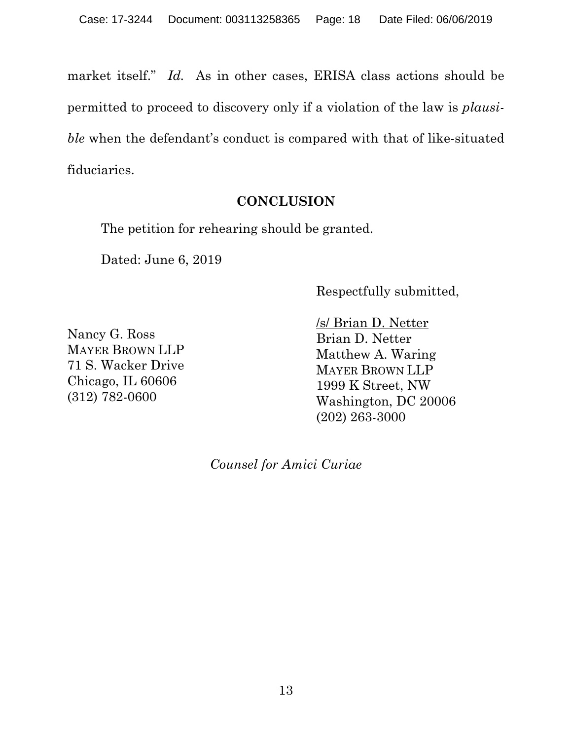market itself." *Id.* As in other cases, ERISA class actions should be permitted to proceed to discovery only if a violation of the law is *plausible* when the defendant's conduct is compared with that of like-situated fiduciaries.

## **CONCLUSION**

The petition for rehearing should be granted.

Dated: June 6, 2019

Respectfully submitted,

Nancy G. Ross MAYER BROWN LLP 71 S. Wacker Drive Chicago, IL 60606 (312) 782-0600

/s/ Brian D. Netter Brian D. Netter Matthew A. Waring MAYER BROWN LLP 1999 K Street, NW Washington, DC 20006 (202) 263-3000

*Counsel for Amici Curiae*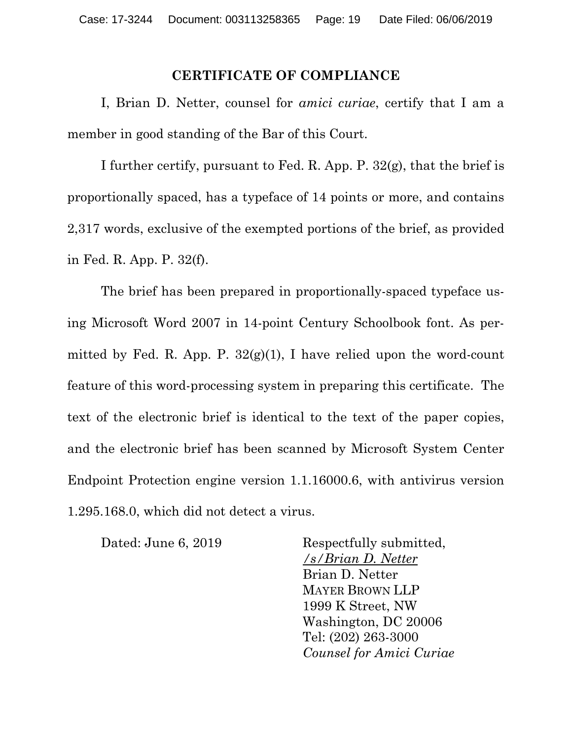#### **CERTIFICATE OF COMPLIANCE**

I, Brian D. Netter, counsel for *amici curiae*, certify that I am a member in good standing of the Bar of this Court.

I further certify, pursuant to Fed. R. App. P. 32(g), that the brief is proportionally spaced, has a typeface of 14 points or more, and contains 2,317 words, exclusive of the exempted portions of the brief, as provided in Fed. R. App. P. 32(f).

The brief has been prepared in proportionally-spaced typeface using Microsoft Word 2007 in 14-point Century Schoolbook font. As permitted by Fed. R. App. P.  $32(g)(1)$ , I have relied upon the word-count feature of this word-processing system in preparing this certificate. The text of the electronic brief is identical to the text of the paper copies, and the electronic brief has been scanned by Microsoft System Center Endpoint Protection engine version 1.1.16000.6, with antivirus version 1.295.168.0, which did not detect a virus.

Dated: June 6, 2019 Respectfully submitted, */s/Brian D. Netter* Brian D. Netter MAYER BROWN LLP 1999 K Street, NW Washington, DC 20006 Tel: (202) 263-3000 *Counsel for Amici Curiae*